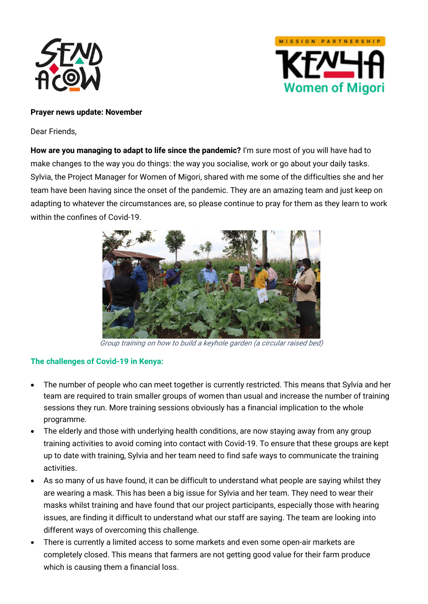



## **Prayer news update: November**

Dear Friends,

**How are you managing to adapt to life since the pandemic?** I'm sure most of you will have had to make changes to the way you do things: the way you socialise, work or go about your daily tasks. Sylvia, the Project Manager for Women of Migori, shared with me some of the difficulties she and her team have been having since the onset of the pandemic. They are an amazing team and just keep on adapting to whatever the circumstances are, so please continue to pray for them as they learn to work within the confines of Covid-19.



Group training on how to build a keyhole garden (a circular raised bed)

## **The challenges of Covid-19 in Kenya:**

- The number of people who can meet together is currently restricted. This means that Sylvia and her team are required to train smaller groups of women than usual and increase the number of training sessions they run. More training sessions obviously has a financial implication to the whole programme.
- The elderly and those with underlying health conditions, are now staying away from any group training activities to avoid coming into contact with Covid-19. To ensure that these groups are kept up to date with training, Sylvia and her team need to find safe ways to communicate the training activities.
- As so many of us have found, it can be difficult to understand what people are saying whilst they are wearing a mask. This has been a big issue for Sylvia and her team. They need to wear their masks whilst training and have found that our project participants, especially those with hearing issues, are finding it difficult to understand what our staff are saying. The team are looking into different ways of overcoming this challenge.
- There is currently a limited access to some markets and even some open-air markets are completely closed. This means that farmers are not getting good value for their farm produce which is causing them a financial loss.